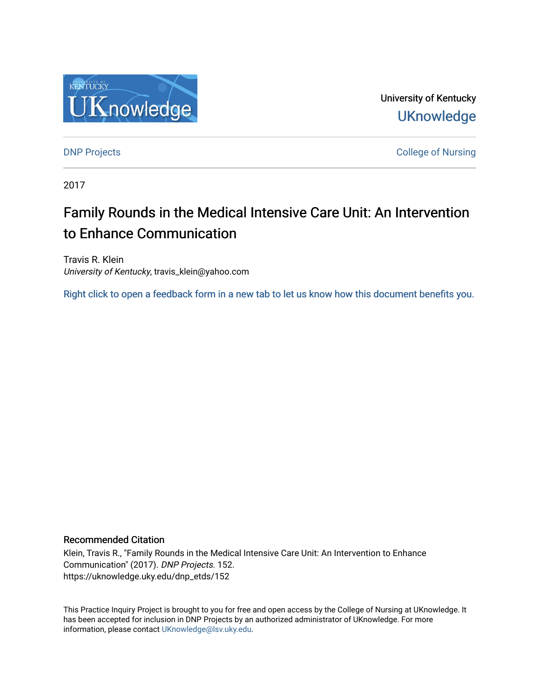

University of Kentucky **UKnowledge** 

**DNP Projects** College of Nursing

2017

# Family Rounds in the Medical Intensive Care Unit: An Intervention to Enhance Communication

Travis R. Klein University of Kentucky, travis\_klein@yahoo.com

[Right click to open a feedback form in a new tab to let us know how this document benefits you.](https://uky.az1.qualtrics.com/jfe/form/SV_9mq8fx2GnONRfz7)

#### Recommended Citation

Klein, Travis R., "Family Rounds in the Medical Intensive Care Unit: An Intervention to Enhance Communication" (2017). DNP Projects. 152. https://uknowledge.uky.edu/dnp\_etds/152

This Practice Inquiry Project is brought to you for free and open access by the College of Nursing at UKnowledge. It has been accepted for inclusion in DNP Projects by an authorized administrator of UKnowledge. For more information, please contact [UKnowledge@lsv.uky.edu](mailto:UKnowledge@lsv.uky.edu).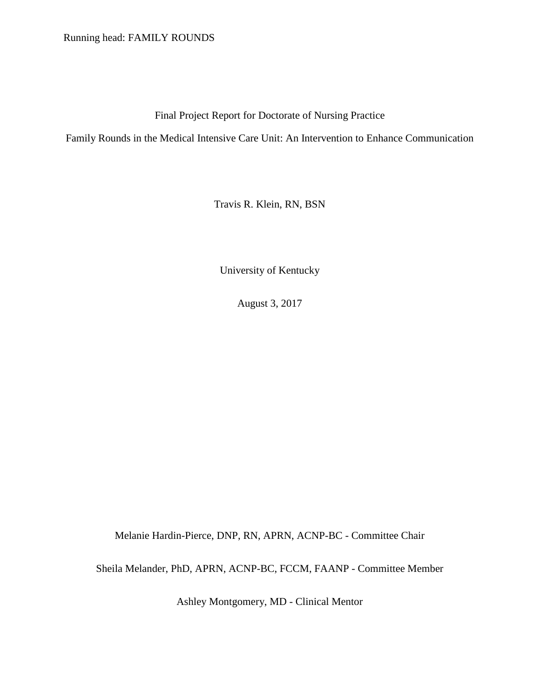Running head: FAMILY ROUNDS

Final Project Report for Doctorate of Nursing Practice

Family Rounds in the Medical Intensive Care Unit: An Intervention to Enhance Communication

Travis R. Klein, RN, BSN

University of Kentucky

August 3, 2017

Melanie Hardin-Pierce, DNP, RN, APRN, ACNP-BC - Committee Chair

Sheila Melander, PhD, APRN, ACNP-BC, FCCM, FAANP - Committee Member

Ashley Montgomery, MD - Clinical Mentor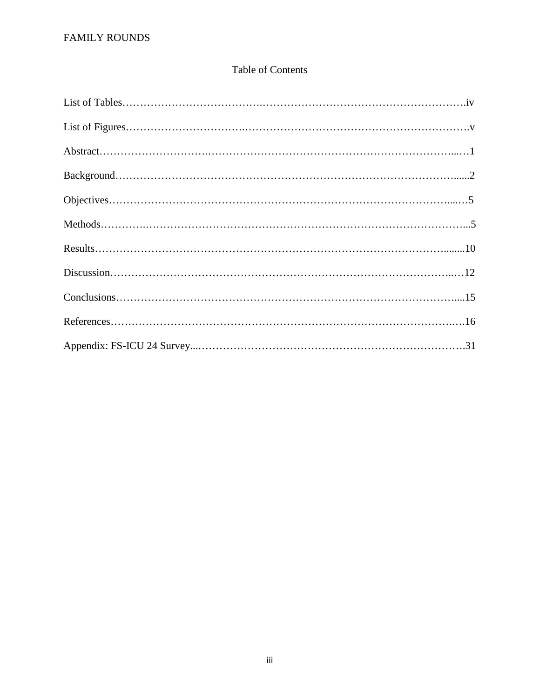## Table of Contents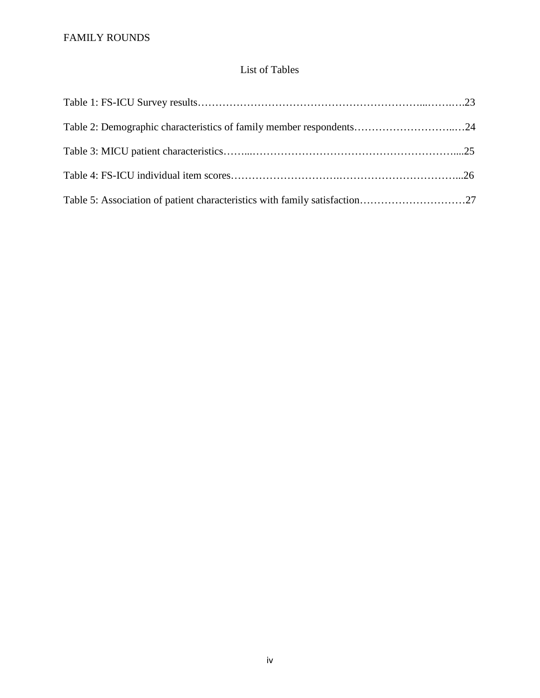## List of Tables

| Table 2: Demographic characteristics of family member respondents24 |  |
|---------------------------------------------------------------------|--|
|                                                                     |  |
|                                                                     |  |
|                                                                     |  |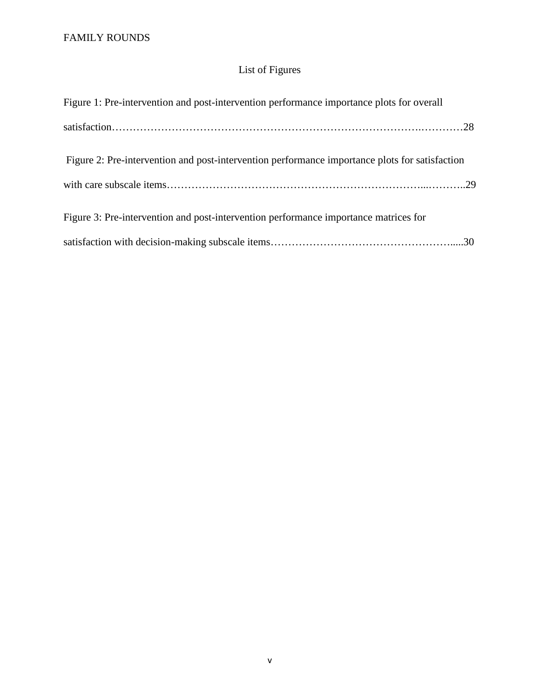## List of Figures

| Figure 1: Pre-intervention and post-intervention performance importance plots for overall      |  |
|------------------------------------------------------------------------------------------------|--|
|                                                                                                |  |
| Figure 2: Pre-intervention and post-intervention performance importance plots for satisfaction |  |
|                                                                                                |  |
| Figure 3: Pre-intervention and post-intervention performance importance matrices for           |  |
|                                                                                                |  |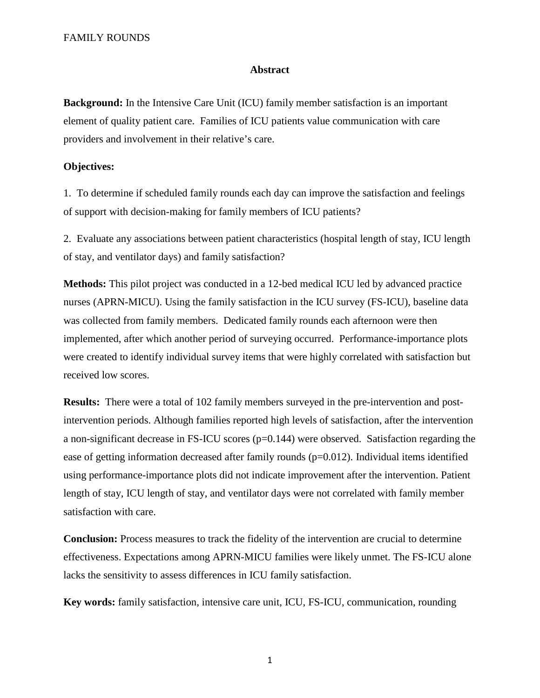#### **Abstract**

**Background:** In the Intensive Care Unit (ICU) family member satisfaction is an important element of quality patient care. Families of ICU patients value communication with care providers and involvement in their relative's care.

#### **Objectives:**

1.To determine if scheduled family rounds each day can improve the satisfaction and feelings of support with decision-making for family members of ICU patients?

2. Evaluate any associations between patient characteristics (hospital length of stay, ICU length of stay, and ventilator days) and family satisfaction?

**Methods:** This pilot project was conducted in a 12-bed medical ICU led by advanced practice nurses (APRN-MICU). Using the family satisfaction in the ICU survey (FS-ICU), baseline data was collected from family members. Dedicated family rounds each afternoon were then implemented, after which another period of surveying occurred. Performance-importance plots were created to identify individual survey items that were highly correlated with satisfaction but received low scores.

**Results:** There were a total of 102 family members surveyed in the pre-intervention and postintervention periods. Although families reported high levels of satisfaction, after the intervention a non-significant decrease in FS-ICU scores (p=0.144) were observed. Satisfaction regarding the ease of getting information decreased after family rounds (p=0.012). Individual items identified using performance-importance plots did not indicate improvement after the intervention. Patient length of stay, ICU length of stay, and ventilator days were not correlated with family member satisfaction with care.

**Conclusion:** Process measures to track the fidelity of the intervention are crucial to determine effectiveness. Expectations among APRN-MICU families were likely unmet. The FS-ICU alone lacks the sensitivity to assess differences in ICU family satisfaction.

**Key words:** family satisfaction, intensive care unit, ICU, FS-ICU, communication, rounding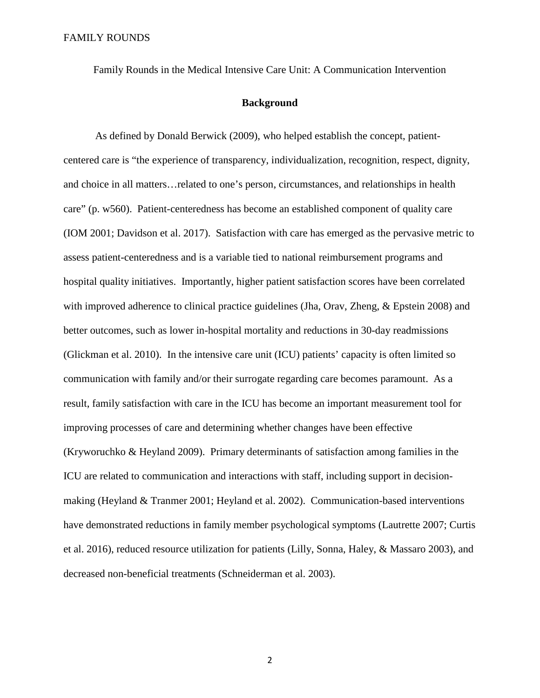Family Rounds in the Medical Intensive Care Unit: A Communication Intervention

#### **Background**

As defined by Donald Berwick (2009), who helped establish the concept, patientcentered care is "the experience of transparency, individualization, recognition, respect, dignity, and choice in all matters…related to one's person, circumstances, and relationships in health care" (p. w560). Patient-centeredness has become an established component of quality care (IOM 2001; Davidson et al. 2017). Satisfaction with care has emerged as the pervasive metric to assess patient-centeredness and is a variable tied to national reimbursement programs and hospital quality initiatives. Importantly, higher patient satisfaction scores have been correlated with improved adherence to clinical practice guidelines (Jha, Orav, Zheng, & Epstein 2008) and better outcomes, such as lower in-hospital mortality and reductions in 30-day readmissions (Glickman et al. 2010). In the intensive care unit (ICU) patients' capacity is often limited so communication with family and/or their surrogate regarding care becomes paramount. As a result, family satisfaction with care in the ICU has become an important measurement tool for improving processes of care and determining whether changes have been effective (Kryworuchko & Heyland 2009). Primary determinants of satisfaction among families in the ICU are related to communication and interactions with staff, including support in decisionmaking (Heyland & Tranmer 2001; Heyland et al. 2002). Communication-based interventions have demonstrated reductions in family member psychological symptoms (Lautrette 2007; Curtis et al. 2016), reduced resource utilization for patients (Lilly, Sonna, Haley, & Massaro 2003), and decreased non-beneficial treatments (Schneiderman et al. 2003).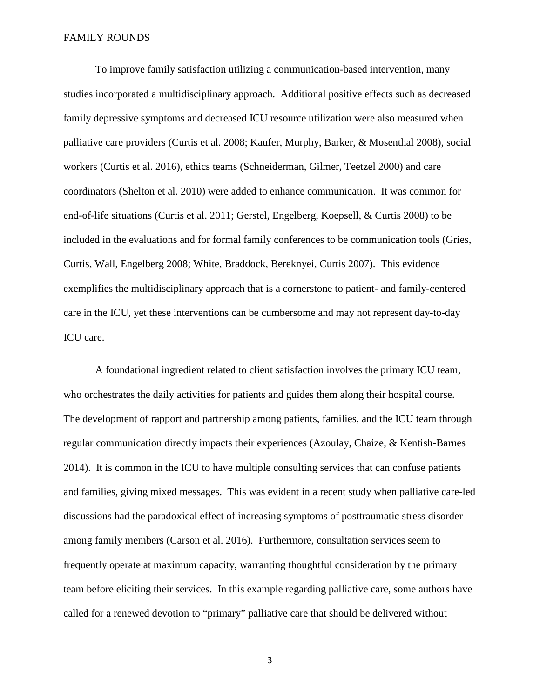To improve family satisfaction utilizing a communication-based intervention, many studies incorporated a multidisciplinary approach. Additional positive effects such as decreased family depressive symptoms and decreased ICU resource utilization were also measured when palliative care providers (Curtis et al. 2008; Kaufer, Murphy, Barker, & Mosenthal 2008), social workers (Curtis et al. 2016), ethics teams (Schneiderman, Gilmer, Teetzel 2000) and care coordinators (Shelton et al. 2010) were added to enhance communication. It was common for end-of-life situations (Curtis et al. 2011; Gerstel, Engelberg, Koepsell, & Curtis 2008) to be included in the evaluations and for formal family conferences to be communication tools (Gries, Curtis, Wall, Engelberg 2008; White, Braddock, Bereknyei, Curtis 2007). This evidence exemplifies the multidisciplinary approach that is a cornerstone to patient- and family-centered care in the ICU, yet these interventions can be cumbersome and may not represent day-to-day ICU care.

A foundational ingredient related to client satisfaction involves the primary ICU team, who orchestrates the daily activities for patients and guides them along their hospital course. The development of rapport and partnership among patients, families, and the ICU team through regular communication directly impacts their experiences (Azoulay, Chaize, & Kentish-Barnes 2014). It is common in the ICU to have multiple consulting services that can confuse patients and families, giving mixed messages. This was evident in a recent study when palliative care-led discussions had the paradoxical effect of increasing symptoms of posttraumatic stress disorder among family members (Carson et al. 2016). Furthermore, consultation services seem to frequently operate at maximum capacity, warranting thoughtful consideration by the primary team before eliciting their services. In this example regarding palliative care, some authors have called for a renewed devotion to "primary" palliative care that should be delivered without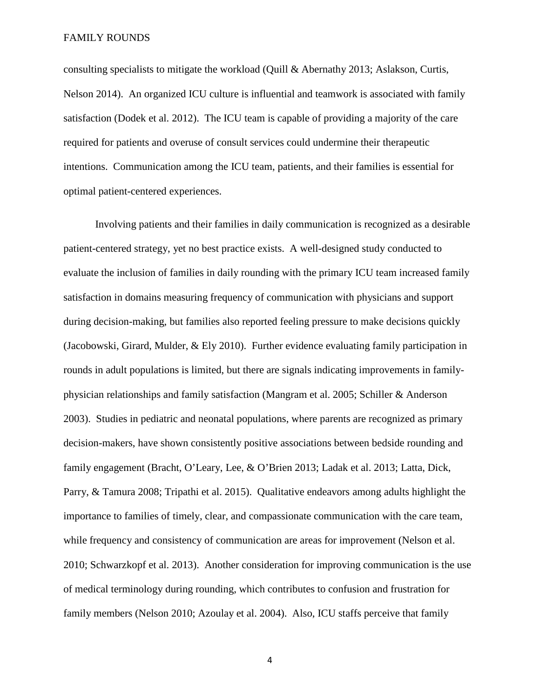consulting specialists to mitigate the workload (Quill & Abernathy 2013; Aslakson, Curtis, Nelson 2014). An organized ICU culture is influential and teamwork is associated with family satisfaction (Dodek et al. 2012). The ICU team is capable of providing a majority of the care required for patients and overuse of consult services could undermine their therapeutic intentions. Communication among the ICU team, patients, and their families is essential for optimal patient-centered experiences.

 Involving patients and their families in daily communication is recognized as a desirable patient-centered strategy, yet no best practice exists. A well-designed study conducted to evaluate the inclusion of families in daily rounding with the primary ICU team increased family satisfaction in domains measuring frequency of communication with physicians and support during decision-making, but families also reported feeling pressure to make decisions quickly (Jacobowski, Girard, Mulder, & Ely 2010). Further evidence evaluating family participation in rounds in adult populations is limited, but there are signals indicating improvements in familyphysician relationships and family satisfaction (Mangram et al. 2005; Schiller & Anderson 2003). Studies in pediatric and neonatal populations, where parents are recognized as primary decision-makers, have shown consistently positive associations between bedside rounding and family engagement (Bracht, O'Leary, Lee, & O'Brien 2013; Ladak et al. 2013; Latta, Dick, Parry, & Tamura 2008; Tripathi et al. 2015). Qualitative endeavors among adults highlight the importance to families of timely, clear, and compassionate communication with the care team, while frequency and consistency of communication are areas for improvement (Nelson et al. 2010; Schwarzkopf et al. 2013). Another consideration for improving communication is the use of medical terminology during rounding, which contributes to confusion and frustration for family members (Nelson 2010; Azoulay et al. 2004). Also, ICU staffs perceive that family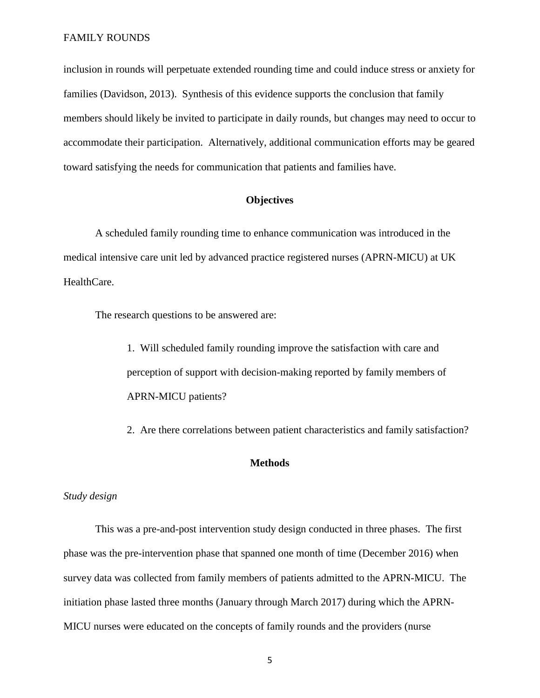inclusion in rounds will perpetuate extended rounding time and could induce stress or anxiety for families (Davidson, 2013). Synthesis of this evidence supports the conclusion that family members should likely be invited to participate in daily rounds, but changes may need to occur to accommodate their participation. Alternatively, additional communication efforts may be geared toward satisfying the needs for communication that patients and families have.

#### **Objectives**

A scheduled family rounding time to enhance communication was introduced in the medical intensive care unit led by advanced practice registered nurses (APRN-MICU) at UK HealthCare.

The research questions to be answered are:

1. Will scheduled family rounding improve the satisfaction with care and perception of support with decision-making reported by family members of APRN-MICU patients?

2. Are there correlations between patient characteristics and family satisfaction?

#### **Methods**

#### *Study design*

This was a pre-and-post intervention study design conducted in three phases. The first phase was the pre-intervention phase that spanned one month of time (December 2016) when survey data was collected from family members of patients admitted to the APRN-MICU. The initiation phase lasted three months (January through March 2017) during which the APRN-MICU nurses were educated on the concepts of family rounds and the providers (nurse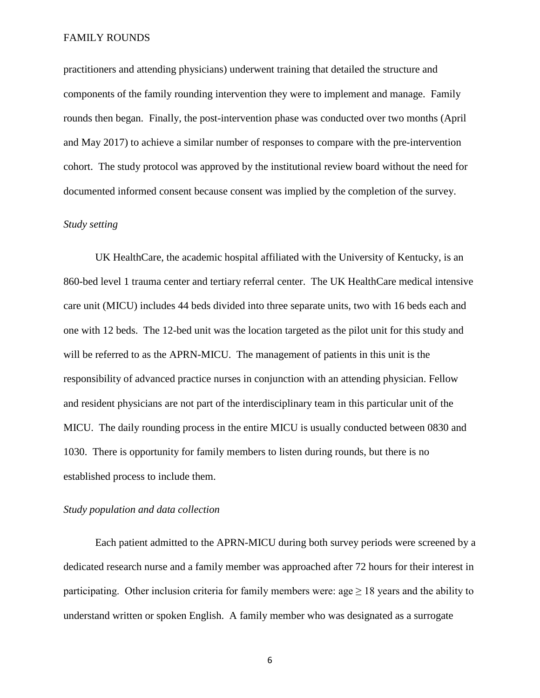practitioners and attending physicians) underwent training that detailed the structure and components of the family rounding intervention they were to implement and manage. Family rounds then began. Finally, the post-intervention phase was conducted over two months (April and May 2017) to achieve a similar number of responses to compare with the pre-intervention cohort. The study protocol was approved by the institutional review board without the need for documented informed consent because consent was implied by the completion of the survey.

#### *Study setting*

UK HealthCare, the academic hospital affiliated with the University of Kentucky, is an 860-bed level 1 trauma center and tertiary referral center. The UK HealthCare medical intensive care unit (MICU) includes 44 beds divided into three separate units, two with 16 beds each and one with 12 beds. The 12-bed unit was the location targeted as the pilot unit for this study and will be referred to as the APRN-MICU. The management of patients in this unit is the responsibility of advanced practice nurses in conjunction with an attending physician. Fellow and resident physicians are not part of the interdisciplinary team in this particular unit of the MICU. The daily rounding process in the entire MICU is usually conducted between 0830 and 1030. There is opportunity for family members to listen during rounds, but there is no established process to include them.

#### *Study population and data collection*

Each patient admitted to the APRN-MICU during both survey periods were screened by a dedicated research nurse and a family member was approached after 72 hours for their interest in participating. Other inclusion criteria for family members were:  $\text{age} \geq 18$  years and the ability to understand written or spoken English. A family member who was designated as a surrogate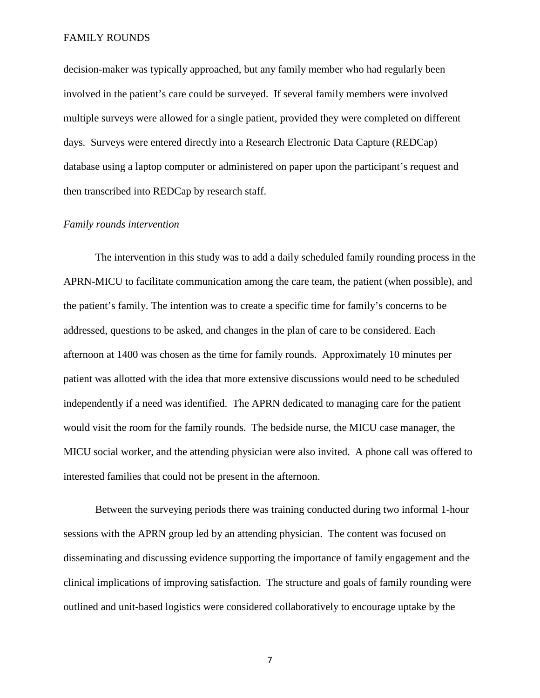decision-maker was typically approached, but any family member who had regularly been involved in the patient's care could be surveyed. If several family members were involved multiple surveys were allowed for a single patient, provided they were completed on different days. Surveys were entered directly into a Research Electronic Data Capture (REDCap) database using a laptop computer or administered on paper upon the participant's request and then transcribed into REDCap by research staff.

#### *Family rounds intervention*

The intervention in this study was to add a daily scheduled family rounding process in the APRN-MICU to facilitate communication among the care team, the patient (when possible), and the patient's family. The intention was to create a specific time for family's concerns to be addressed, questions to be asked, and changes in the plan of care to be considered. Each afternoon at 1400 was chosen as the time for family rounds. Approximately 10 minutes per patient was allotted with the idea that more extensive discussions would need to be scheduled independently if a need was identified. The APRN dedicated to managing care for the patient would visit the room for the family rounds. The bedside nurse, the MICU case manager, the MICU social worker, and the attending physician were also invited. A phone call was offered to interested families that could not be present in the afternoon.

Between the surveying periods there was training conducted during two informal 1-hour sessions with the APRN group led by an attending physician. The content was focused on disseminating and discussing evidence supporting the importance of family engagement and the clinical implications of improving satisfaction. The structure and goals of family rounding were outlined and unit-based logistics were considered collaboratively to encourage uptake by the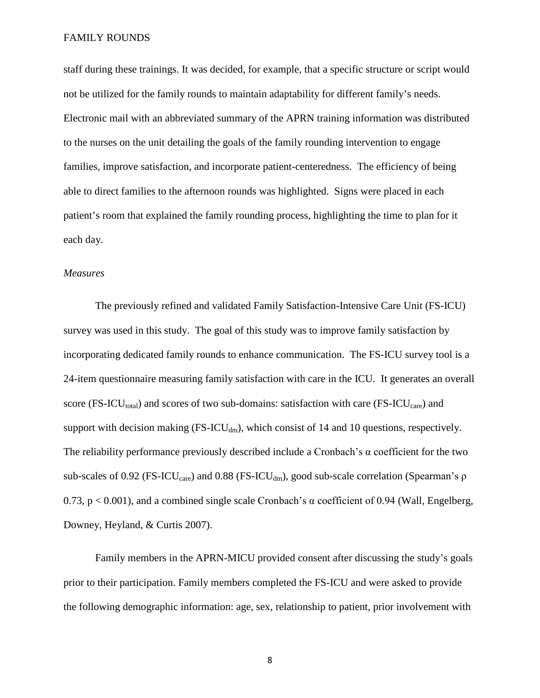staff during these trainings. It was decided, for example, that a specific structure or script would not be utilized for the family rounds to maintain adaptability for different family's needs. Electronic mail with an abbreviated summary of the APRN training information was distributed to the nurses on the unit detailing the goals of the family rounding intervention to engage families, improve satisfaction, and incorporate patient-centeredness. The efficiency of being able to direct families to the afternoon rounds was highlighted. Signs were placed in each patient's room that explained the family rounding process, highlighting the time to plan for it each day.

#### *Measures*

The previously refined and validated Family Satisfaction-Intensive Care Unit (FS-ICU) survey was used in this study. The goal of this study was to improve family satisfaction by incorporating dedicated family rounds to enhance communication. The FS-ICU survey tool is a 24-item questionnaire measuring family satisfaction with care in the ICU. It generates an overall score (FS-ICU<sub>total</sub>) and scores of two sub-domains: satisfaction with care (FS-ICU<sub>care</sub>) and support with decision making  $(FS-ICU_{dm})$ , which consist of 14 and 10 questions, respectively. The reliability performance previously described include a Cronbach's α coefficient for the two sub-scales of 0.92 (FS-ICU<sub>care</sub>) and 0.88 (FS-ICU<sub>dm</sub>), good sub-scale correlation (Spearman's ρ 0.73,  $p < 0.001$ ), and a combined single scale Cronbach's  $\alpha$  coefficient of 0.94 (Wall, Engelberg, Downey, Heyland, & Curtis 2007).

Family members in the APRN-MICU provided consent after discussing the study's goals prior to their participation. Family members completed the FS-ICU and were asked to provide the following demographic information: age, sex, relationship to patient, prior involvement with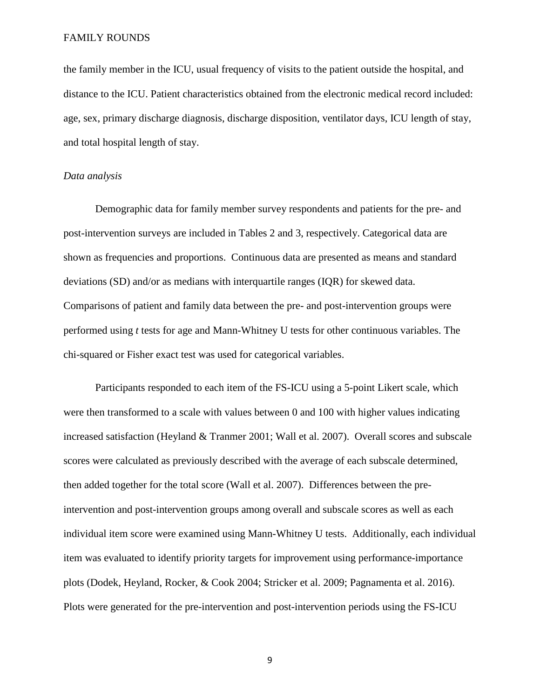the family member in the ICU, usual frequency of visits to the patient outside the hospital, and distance to the ICU. Patient characteristics obtained from the electronic medical record included: age, sex, primary discharge diagnosis, discharge disposition, ventilator days, ICU length of stay, and total hospital length of stay.

#### *Data analysis*

Demographic data for family member survey respondents and patients for the pre- and post-intervention surveys are included in Tables 2 and 3, respectively. Categorical data are shown as frequencies and proportions. Continuous data are presented as means and standard deviations (SD) and/or as medians with interquartile ranges (IQR) for skewed data. Comparisons of patient and family data between the pre- and post-intervention groups were performed using *t* tests for age and Mann-Whitney U tests for other continuous variables. The chi-squared or Fisher exact test was used for categorical variables.

Participants responded to each item of the FS-ICU using a 5-point Likert scale, which were then transformed to a scale with values between 0 and 100 with higher values indicating increased satisfaction (Heyland & Tranmer 2001; Wall et al. 2007). Overall scores and subscale scores were calculated as previously described with the average of each subscale determined, then added together for the total score (Wall et al. 2007). Differences between the preintervention and post-intervention groups among overall and subscale scores as well as each individual item score were examined using Mann-Whitney U tests. Additionally, each individual item was evaluated to identify priority targets for improvement using performance-importance plots (Dodek, Heyland, Rocker, & Cook 2004; Stricker et al. 2009; Pagnamenta et al. 2016). Plots were generated for the pre-intervention and post-intervention periods using the FS-ICU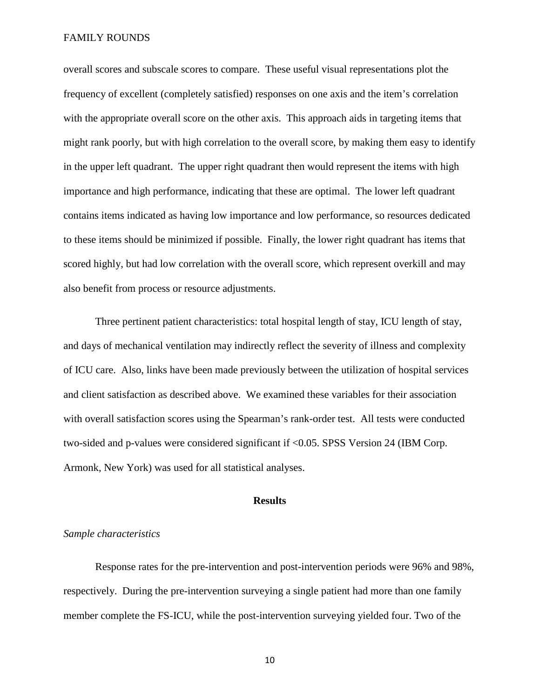overall scores and subscale scores to compare. These useful visual representations plot the frequency of excellent (completely satisfied) responses on one axis and the item's correlation with the appropriate overall score on the other axis. This approach aids in targeting items that might rank poorly, but with high correlation to the overall score, by making them easy to identify in the upper left quadrant. The upper right quadrant then would represent the items with high importance and high performance, indicating that these are optimal. The lower left quadrant contains items indicated as having low importance and low performance, so resources dedicated to these items should be minimized if possible. Finally, the lower right quadrant has items that scored highly, but had low correlation with the overall score, which represent overkill and may also benefit from process or resource adjustments.

Three pertinent patient characteristics: total hospital length of stay, ICU length of stay, and days of mechanical ventilation may indirectly reflect the severity of illness and complexity of ICU care. Also, links have been made previously between the utilization of hospital services and client satisfaction as described above. We examined these variables for their association with overall satisfaction scores using the Spearman's rank-order test. All tests were conducted two-sided and p-values were considered significant if <0.05. SPSS Version 24 (IBM Corp. Armonk, New York) was used for all statistical analyses.

#### **Results**

#### *Sample characteristics*

Response rates for the pre-intervention and post-intervention periods were 96% and 98%, respectively. During the pre-intervention surveying a single patient had more than one family member complete the FS-ICU, while the post-intervention surveying yielded four. Two of the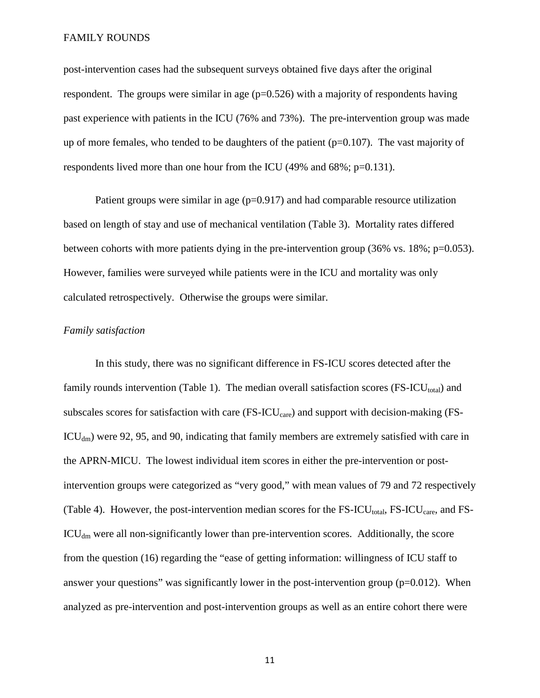post-intervention cases had the subsequent surveys obtained five days after the original respondent. The groups were similar in age  $(p=0.526)$  with a majority of respondents having past experience with patients in the ICU (76% and 73%). The pre-intervention group was made up of more females, who tended to be daughters of the patient  $(p=0.107)$ . The vast majority of respondents lived more than one hour from the ICU (49% and 68%; p=0.131).

Patient groups were similar in age  $(p=0.917)$  and had comparable resource utilization based on length of stay and use of mechanical ventilation (Table 3). Mortality rates differed between cohorts with more patients dying in the pre-intervention group  $(36\% \text{ vs. } 18\%; \text{ p=0.053}).$ However, families were surveyed while patients were in the ICU and mortality was only calculated retrospectively. Otherwise the groups were similar.

#### *Family satisfaction*

In this study, there was no significant difference in FS-ICU scores detected after the family rounds intervention (Table 1). The median overall satisfaction scores (FS-ICU<sub>total</sub>) and subscales scores for satisfaction with care  $(FS-ICU_{care})$  and support with decision-making  $(FS-ICU_{care})$  $ICU<sub>dm</sub>$ ) were 92, 95, and 90, indicating that family members are extremely satisfied with care in the APRN-MICU. The lowest individual item scores in either the pre-intervention or postintervention groups were categorized as "very good," with mean values of 79 and 72 respectively (Table 4). However, the post-intervention median scores for the  $FS\text{-}ICU_{total}$ ,  $FS\text{-}ICU_{care}$ , and  $FS\text{-}I$  $\text{ICU}_{dm}$  were all non-significantly lower than pre-intervention scores. Additionally, the score from the question (16) regarding the "ease of getting information: willingness of ICU staff to answer your questions" was significantly lower in the post-intervention group ( $p=0.012$ ). When analyzed as pre-intervention and post-intervention groups as well as an entire cohort there were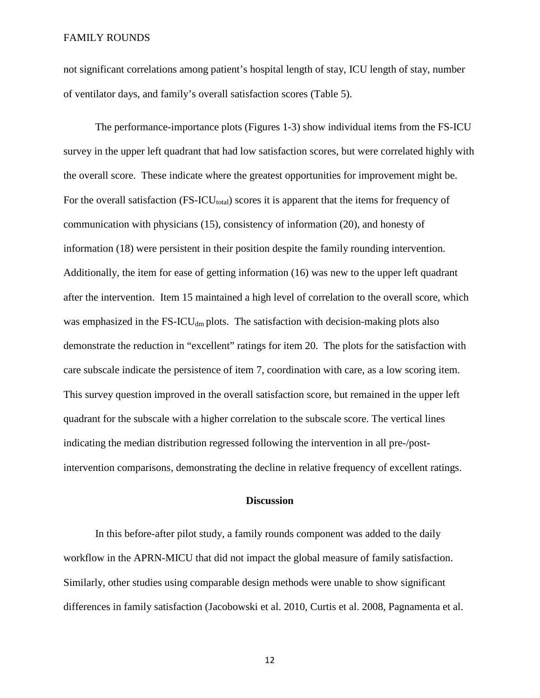not significant correlations among patient's hospital length of stay, ICU length of stay, number of ventilator days, and family's overall satisfaction scores (Table 5).

The performance-importance plots (Figures 1-3) show individual items from the FS-ICU survey in the upper left quadrant that had low satisfaction scores, but were correlated highly with the overall score. These indicate where the greatest opportunities for improvement might be. For the overall satisfaction  $(FS-ICU_{total})$  scores it is apparent that the items for frequency of communication with physicians (15), consistency of information (20), and honesty of information (18) were persistent in their position despite the family rounding intervention. Additionally, the item for ease of getting information (16) was new to the upper left quadrant after the intervention. Item 15 maintained a high level of correlation to the overall score, which was emphasized in the  $FS-ICU_{dm}$  plots. The satisfaction with decision-making plots also demonstrate the reduction in "excellent" ratings for item 20. The plots for the satisfaction with care subscale indicate the persistence of item 7, coordination with care, as a low scoring item. This survey question improved in the overall satisfaction score, but remained in the upper left quadrant for the subscale with a higher correlation to the subscale score. The vertical lines indicating the median distribution regressed following the intervention in all pre-/postintervention comparisons, demonstrating the decline in relative frequency of excellent ratings.

#### **Discussion**

In this before-after pilot study, a family rounds component was added to the daily workflow in the APRN-MICU that did not impact the global measure of family satisfaction. Similarly, other studies using comparable design methods were unable to show significant differences in family satisfaction (Jacobowski et al. 2010, Curtis et al. 2008, Pagnamenta et al.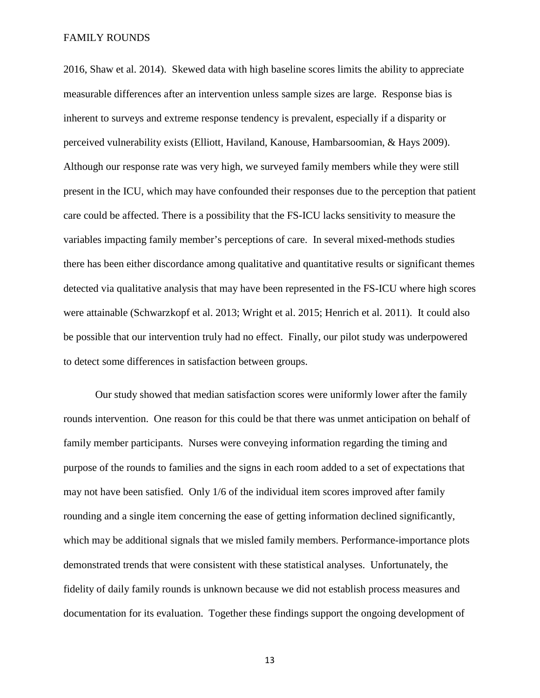2016, Shaw et al. 2014). Skewed data with high baseline scores limits the ability to appreciate measurable differences after an intervention unless sample sizes are large. Response bias is inherent to surveys and extreme response tendency is prevalent, especially if a disparity or perceived vulnerability exists (Elliott, Haviland, Kanouse, Hambarsoomian, & Hays 2009). Although our response rate was very high, we surveyed family members while they were still present in the ICU, which may have confounded their responses due to the perception that patient care could be affected. There is a possibility that the FS-ICU lacks sensitivity to measure the variables impacting family member's perceptions of care. In several mixed-methods studies there has been either discordance among qualitative and quantitative results or significant themes detected via qualitative analysis that may have been represented in the FS-ICU where high scores were attainable (Schwarzkopf et al. 2013; Wright et al. 2015; Henrich et al. 2011). It could also be possible that our intervention truly had no effect. Finally, our pilot study was underpowered to detect some differences in satisfaction between groups.

Our study showed that median satisfaction scores were uniformly lower after the family rounds intervention. One reason for this could be that there was unmet anticipation on behalf of family member participants. Nurses were conveying information regarding the timing and purpose of the rounds to families and the signs in each room added to a set of expectations that may not have been satisfied. Only 1/6 of the individual item scores improved after family rounding and a single item concerning the ease of getting information declined significantly, which may be additional signals that we misled family members. Performance-importance plots demonstrated trends that were consistent with these statistical analyses. Unfortunately, the fidelity of daily family rounds is unknown because we did not establish process measures and documentation for its evaluation. Together these findings support the ongoing development of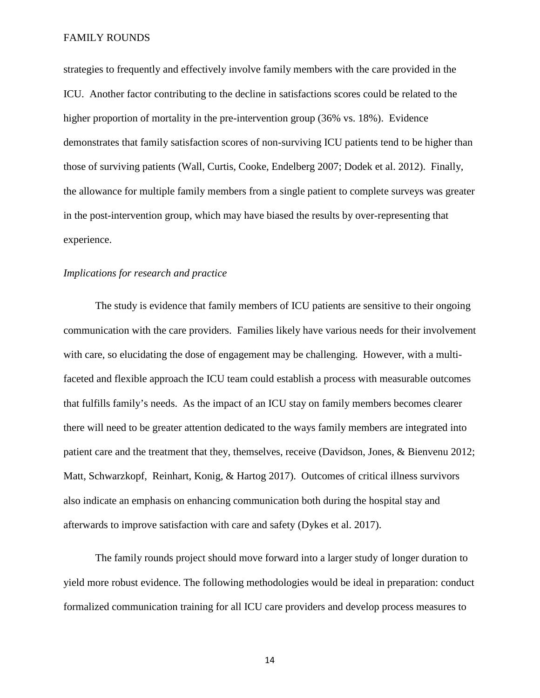strategies to frequently and effectively involve family members with the care provided in the ICU. Another factor contributing to the decline in satisfactions scores could be related to the higher proportion of mortality in the pre-intervention group (36% vs. 18%). Evidence demonstrates that family satisfaction scores of non-surviving ICU patients tend to be higher than those of surviving patients (Wall, Curtis, Cooke, Endelberg 2007; Dodek et al. 2012). Finally, the allowance for multiple family members from a single patient to complete surveys was greater in the post-intervention group, which may have biased the results by over-representing that experience.

#### *Implications for research and practice*

The study is evidence that family members of ICU patients are sensitive to their ongoing communication with the care providers. Families likely have various needs for their involvement with care, so elucidating the dose of engagement may be challenging. However, with a multifaceted and flexible approach the ICU team could establish a process with measurable outcomes that fulfills family's needs. As the impact of an ICU stay on family members becomes clearer there will need to be greater attention dedicated to the ways family members are integrated into patient care and the treatment that they, themselves, receive (Davidson, Jones, & Bienvenu 2012; Matt, Schwarzkopf, Reinhart, Konig, & Hartog 2017). Outcomes of critical illness survivors also indicate an emphasis on enhancing communication both during the hospital stay and afterwards to improve satisfaction with care and safety (Dykes et al. 2017).

The family rounds project should move forward into a larger study of longer duration to yield more robust evidence. The following methodologies would be ideal in preparation: conduct formalized communication training for all ICU care providers and develop process measures to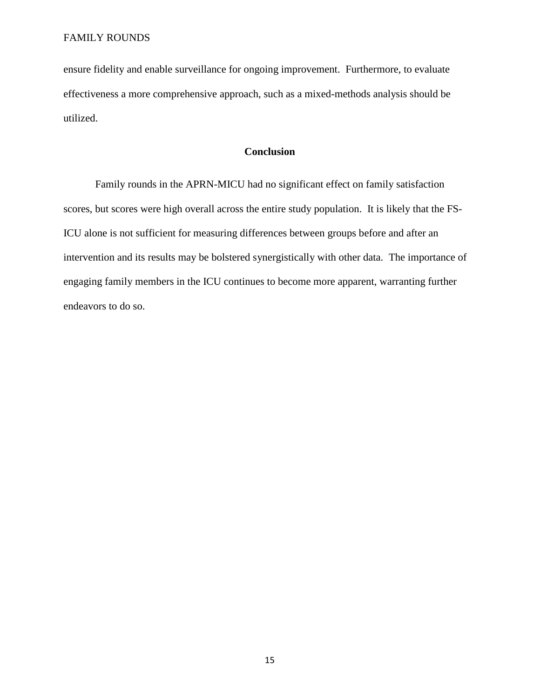ensure fidelity and enable surveillance for ongoing improvement. Furthermore, to evaluate effectiveness a more comprehensive approach, such as a mixed-methods analysis should be utilized.

### **Conclusion**

Family rounds in the APRN-MICU had no significant effect on family satisfaction scores, but scores were high overall across the entire study population. It is likely that the FS-ICU alone is not sufficient for measuring differences between groups before and after an intervention and its results may be bolstered synergistically with other data. The importance of engaging family members in the ICU continues to become more apparent, warranting further endeavors to do so.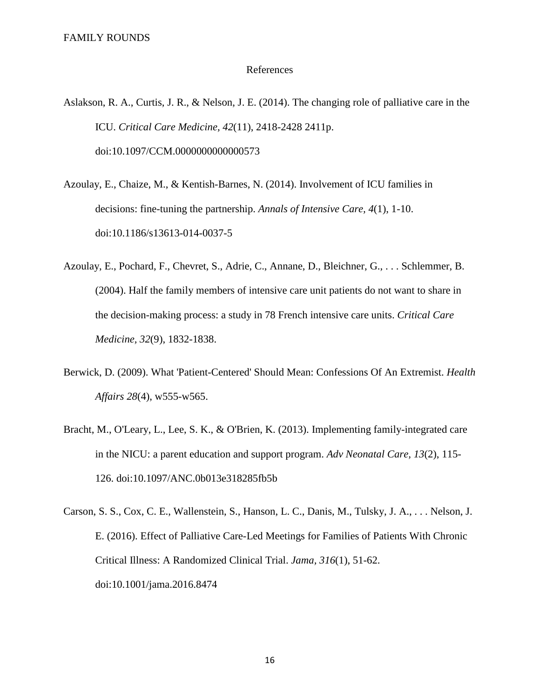#### References

- Aslakson, R. A., Curtis, J. R., & Nelson, J. E. (2014). The changing role of palliative care in the ICU. *Critical Care Medicine, 42*(11), 2418-2428 2411p. doi:10.1097/CCM.0000000000000573
- Azoulay, E., Chaize, M., & Kentish-Barnes, N. (2014). Involvement of ICU families in decisions: fine-tuning the partnership. *Annals of Intensive Care, 4*(1), 1-10. doi:10.1186/s13613-014-0037-5
- Azoulay, E., Pochard, F., Chevret, S., Adrie, C., Annane, D., Bleichner, G., . . . Schlemmer, B. (2004). Half the family members of intensive care unit patients do not want to share in the decision-making process: a study in 78 French intensive care units. *Critical Care Medicine, 32*(9), 1832-1838.
- Berwick, D. (2009). What 'Patient-Centered' Should Mean: Confessions Of An Extremist. *Health Affairs 28*(4), w555-w565.
- Bracht, M., O'Leary, L., Lee, S. K., & O'Brien, K. (2013). Implementing family-integrated care in the NICU: a parent education and support program. *Adv Neonatal Care, 13*(2), 115- 126. doi:10.1097/ANC.0b013e318285fb5b
- Carson, S. S., Cox, C. E., Wallenstein, S., Hanson, L. C., Danis, M., Tulsky, J. A., . . . Nelson, J. E. (2016). Effect of Palliative Care-Led Meetings for Families of Patients With Chronic Critical Illness: A Randomized Clinical Trial. *Jama, 316*(1), 51-62. doi:10.1001/jama.2016.8474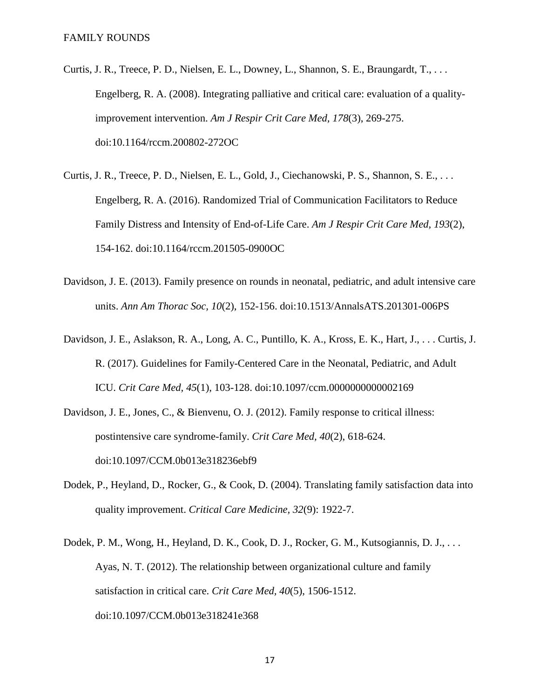- Curtis, J. R., Treece, P. D., Nielsen, E. L., Downey, L., Shannon, S. E., Braungardt, T., . . . Engelberg, R. A. (2008). Integrating palliative and critical care: evaluation of a qualityimprovement intervention. *Am J Respir Crit Care Med, 178*(3), 269-275. doi:10.1164/rccm.200802-272OC
- Curtis, J. R., Treece, P. D., Nielsen, E. L., Gold, J., Ciechanowski, P. S., Shannon, S. E., . . . Engelberg, R. A. (2016). Randomized Trial of Communication Facilitators to Reduce Family Distress and Intensity of End-of-Life Care. *Am J Respir Crit Care Med, 193*(2), 154-162. doi:10.1164/rccm.201505-0900OC
- Davidson, J. E. (2013). Family presence on rounds in neonatal, pediatric, and adult intensive care units. *Ann Am Thorac Soc, 10*(2), 152-156. doi:10.1513/AnnalsATS.201301-006PS
- Davidson, J. E., Aslakson, R. A., Long, A. C., Puntillo, K. A., Kross, E. K., Hart, J., . . . Curtis, J. R. (2017). Guidelines for Family-Centered Care in the Neonatal, Pediatric, and Adult ICU. *Crit Care Med, 45*(1), 103-128. doi:10.1097/ccm.0000000000002169
- Davidson, J. E., Jones, C., & Bienvenu, O. J. (2012). Family response to critical illness: postintensive care syndrome-family. *Crit Care Med, 40*(2), 618-624. doi:10.1097/CCM.0b013e318236ebf9
- Dodek, P., Heyland, D., Rocker, G., & Cook, D. (2004). Translating family satisfaction data into quality improvement. *Critical Care Medicine, 32*(9): 1922-7.
- Dodek, P. M., Wong, H., Heyland, D. K., Cook, D. J., Rocker, G. M., Kutsogiannis, D. J., . . . Ayas, N. T. (2012). The relationship between organizational culture and family satisfaction in critical care. *Crit Care Med, 40*(5), 1506-1512. doi:10.1097/CCM.0b013e318241e368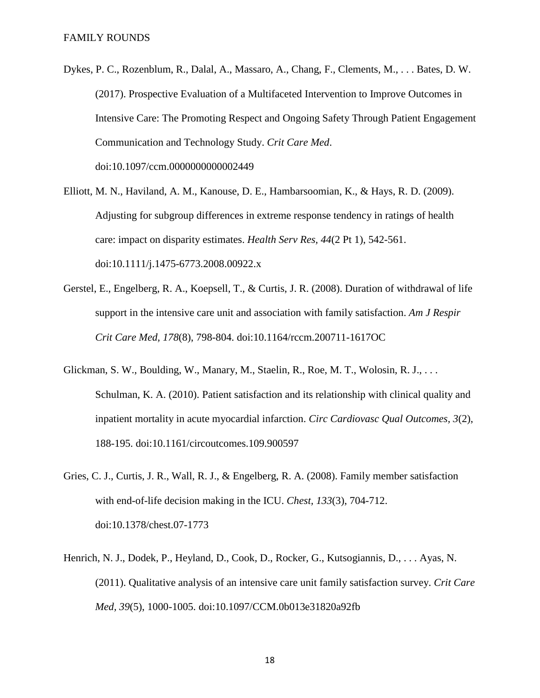- Dykes, P. C., Rozenblum, R., Dalal, A., Massaro, A., Chang, F., Clements, M., . . . Bates, D. W. (2017). Prospective Evaluation of a Multifaceted Intervention to Improve Outcomes in Intensive Care: The Promoting Respect and Ongoing Safety Through Patient Engagement Communication and Technology Study. *Crit Care Med*. doi:10.1097/ccm.0000000000002449
- Elliott, M. N., Haviland, A. M., Kanouse, D. E., Hambarsoomian, K., & Hays, R. D. (2009). Adjusting for subgroup differences in extreme response tendency in ratings of health care: impact on disparity estimates. *Health Serv Res, 44*(2 Pt 1), 542-561. doi:10.1111/j.1475-6773.2008.00922.x
- Gerstel, E., Engelberg, R. A., Koepsell, T., & Curtis, J. R. (2008). Duration of withdrawal of life support in the intensive care unit and association with family satisfaction. *Am J Respir Crit Care Med, 178*(8), 798-804. doi:10.1164/rccm.200711-1617OC
- Glickman, S. W., Boulding, W., Manary, M., Staelin, R., Roe, M. T., Wolosin, R. J., . . . Schulman, K. A. (2010). Patient satisfaction and its relationship with clinical quality and inpatient mortality in acute myocardial infarction. *Circ Cardiovasc Qual Outcomes, 3*(2), 188-195. doi:10.1161/circoutcomes.109.900597
- Gries, C. J., Curtis, J. R., Wall, R. J., & Engelberg, R. A. (2008). Family member satisfaction with end-of-life decision making in the ICU. *Chest, 133*(3), 704-712. doi:10.1378/chest.07-1773
- Henrich, N. J., Dodek, P., Heyland, D., Cook, D., Rocker, G., Kutsogiannis, D., . . . Ayas, N. (2011). Qualitative analysis of an intensive care unit family satisfaction survey. *Crit Care Med, 39*(5), 1000-1005. doi:10.1097/CCM.0b013e31820a92fb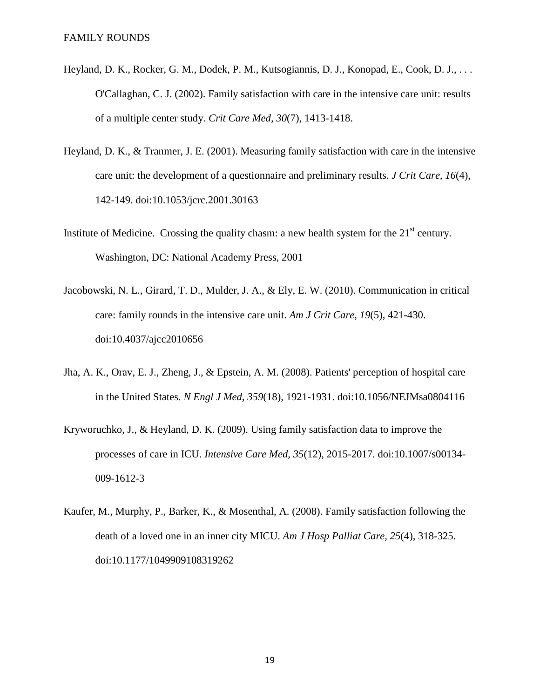- Heyland, D. K., Rocker, G. M., Dodek, P. M., Kutsogiannis, D. J., Konopad, E., Cook, D. J., . . . O'Callaghan, C. J. (2002). Family satisfaction with care in the intensive care unit: results of a multiple center study. *Crit Care Med, 30*(7), 1413-1418.
- Heyland, D. K., & Tranmer, J. E. (2001). Measuring family satisfaction with care in the intensive care unit: the development of a questionnaire and preliminary results. *J Crit Care, 16*(4), 142-149. doi:10.1053/jcrc.2001.30163
- Institute of Medicine. Crossing the quality chasm: a new health system for the  $21<sup>st</sup>$  century. Washington, DC: National Academy Press, 2001
- Jacobowski, N. L., Girard, T. D., Mulder, J. A., & Ely, E. W. (2010). Communication in critical care: family rounds in the intensive care unit. *Am J Crit Care, 19*(5), 421-430. doi:10.4037/ajcc2010656
- Jha, A. K., Orav, E. J., Zheng, J., & Epstein, A. M. (2008). Patients' perception of hospital care in the United States. *N Engl J Med, 359*(18), 1921-1931. doi:10.1056/NEJMsa0804116
- Kryworuchko, J., & Heyland, D. K. (2009). Using family satisfaction data to improve the processes of care in ICU. *Intensive Care Med, 35*(12), 2015-2017. doi:10.1007/s00134- 009-1612-3
- Kaufer, M., Murphy, P., Barker, K., & Mosenthal, A. (2008). Family satisfaction following the death of a loved one in an inner city MICU. *Am J Hosp Palliat Care, 25*(4), 318-325. doi:10.1177/1049909108319262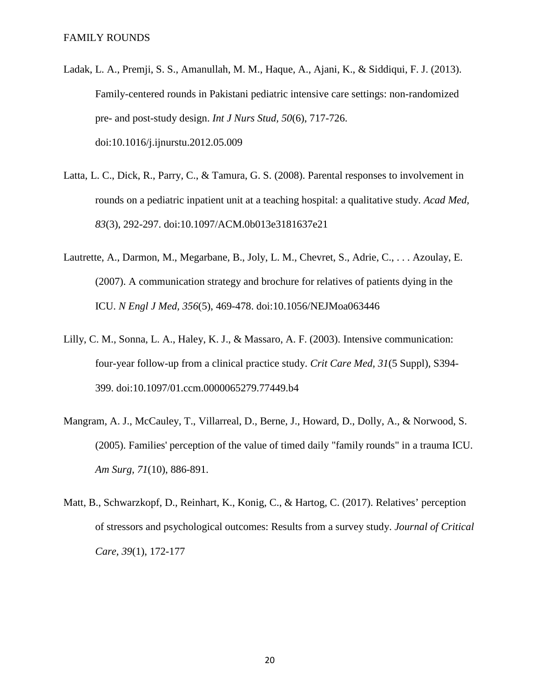- Ladak, L. A., Premji, S. S., Amanullah, M. M., Haque, A., Ajani, K., & Siddiqui, F. J. (2013). Family-centered rounds in Pakistani pediatric intensive care settings: non-randomized pre- and post-study design. *Int J Nurs Stud, 50*(6), 717-726. doi:10.1016/j.ijnurstu.2012.05.009
- Latta, L. C., Dick, R., Parry, C., & Tamura, G. S. (2008). Parental responses to involvement in rounds on a pediatric inpatient unit at a teaching hospital: a qualitative study. *Acad Med, 83*(3), 292-297. doi:10.1097/ACM.0b013e3181637e21
- Lautrette, A., Darmon, M., Megarbane, B., Joly, L. M., Chevret, S., Adrie, C., . . . Azoulay, E. (2007). A communication strategy and brochure for relatives of patients dying in the ICU. *N Engl J Med, 356*(5), 469-478. doi:10.1056/NEJMoa063446
- Lilly, C. M., Sonna, L. A., Haley, K. J., & Massaro, A. F. (2003). Intensive communication: four-year follow-up from a clinical practice study. *Crit Care Med, 31*(5 Suppl), S394- 399. doi:10.1097/01.ccm.0000065279.77449.b4
- Mangram, A. J., McCauley, T., Villarreal, D., Berne, J., Howard, D., Dolly, A., & Norwood, S. (2005). Families' perception of the value of timed daily "family rounds" in a trauma ICU. *Am Surg, 71*(10), 886-891.
- Matt, B., Schwarzkopf, D., Reinhart, K., Konig, C., & Hartog, C. (2017). Relatives' perception of stressors and psychological outcomes: Results from a survey study. *Journal of Critical Care, 39*(1), 172-177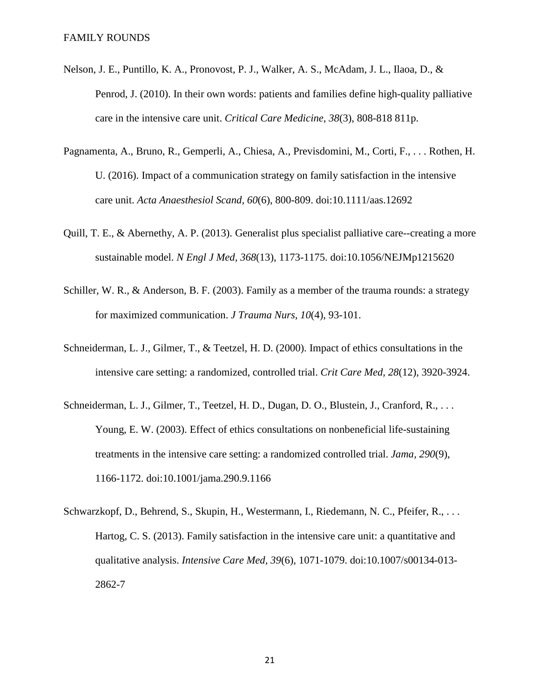- Nelson, J. E., Puntillo, K. A., Pronovost, P. J., Walker, A. S., McAdam, J. L., Ilaoa, D., & Penrod, J. (2010). In their own words: patients and families define high-quality palliative care in the intensive care unit. *Critical Care Medicine, 38*(3), 808-818 811p.
- Pagnamenta, A., Bruno, R., Gemperli, A., Chiesa, A., Previsdomini, M., Corti, F., . . . Rothen, H. U. (2016). Impact of a communication strategy on family satisfaction in the intensive care unit. *Acta Anaesthesiol Scand, 60*(6), 800-809. doi:10.1111/aas.12692
- Quill, T. E., & Abernethy, A. P. (2013). Generalist plus specialist palliative care--creating a more sustainable model. *N Engl J Med, 368*(13), 1173-1175. doi:10.1056/NEJMp1215620
- Schiller, W. R., & Anderson, B. F. (2003). Family as a member of the trauma rounds: a strategy for maximized communication. *J Trauma Nurs, 10*(4), 93-101.
- Schneiderman, L. J., Gilmer, T., & Teetzel, H. D. (2000). Impact of ethics consultations in the intensive care setting: a randomized, controlled trial. *Crit Care Med, 28*(12), 3920-3924.
- Schneiderman, L. J., Gilmer, T., Teetzel, H. D., Dugan, D. O., Blustein, J., Cranford, R., . . . Young, E. W. (2003). Effect of ethics consultations on nonbeneficial life-sustaining treatments in the intensive care setting: a randomized controlled trial. *Jama, 290*(9), 1166-1172. doi:10.1001/jama.290.9.1166
- Schwarzkopf, D., Behrend, S., Skupin, H., Westermann, I., Riedemann, N. C., Pfeifer, R., ... Hartog, C. S. (2013). Family satisfaction in the intensive care unit: a quantitative and qualitative analysis. *Intensive Care Med, 39*(6), 1071-1079. doi:10.1007/s00134-013- 2862-7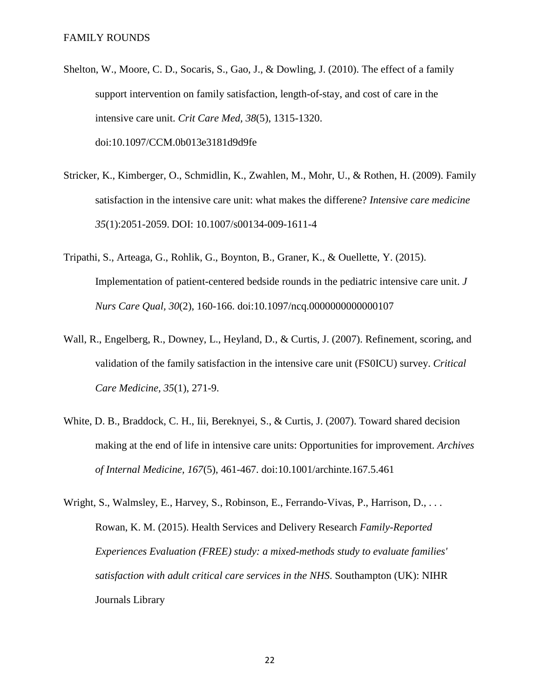- Shelton, W., Moore, C. D., Socaris, S., Gao, J., & Dowling, J. (2010). The effect of a family support intervention on family satisfaction, length-of-stay, and cost of care in the intensive care unit. *Crit Care Med, 38*(5), 1315-1320. doi:10.1097/CCM.0b013e3181d9d9fe
- Stricker, K., Kimberger, O., Schmidlin, K., Zwahlen, M., Mohr, U., & Rothen, H. (2009). Family satisfaction in the intensive care unit: what makes the differene? *Intensive care medicine 35*(1):2051-2059. DOI: 10.1007/s00134-009-1611-4
- Tripathi, S., Arteaga, G., Rohlik, G., Boynton, B., Graner, K., & Ouellette, Y. (2015). Implementation of patient-centered bedside rounds in the pediatric intensive care unit. *J Nurs Care Qual, 30*(2), 160-166. doi:10.1097/ncq.0000000000000107
- Wall, R., Engelberg, R., Downey, L., Heyland, D., & Curtis, J. (2007). Refinement, scoring, and validation of the family satisfaction in the intensive care unit (FS0ICU) survey. *Critical Care Medicine, 35*(1), 271-9.
- White, D. B., Braddock, C. H., Iii, Bereknyei, S., & Curtis, J. (2007). Toward shared decision making at the end of life in intensive care units: Opportunities for improvement. *Archives of Internal Medicine, 167*(5), 461-467. doi:10.1001/archinte.167.5.461
- Wright, S., Walmsley, E., Harvey, S., Robinson, E., Ferrando-Vivas, P., Harrison, D., ... Rowan, K. M. (2015). Health Services and Delivery Research *Family-Reported Experiences Evaluation (FREE) study: a mixed-methods study to evaluate families' satisfaction with adult critical care services in the NHS*. Southampton (UK): NIHR Journals Library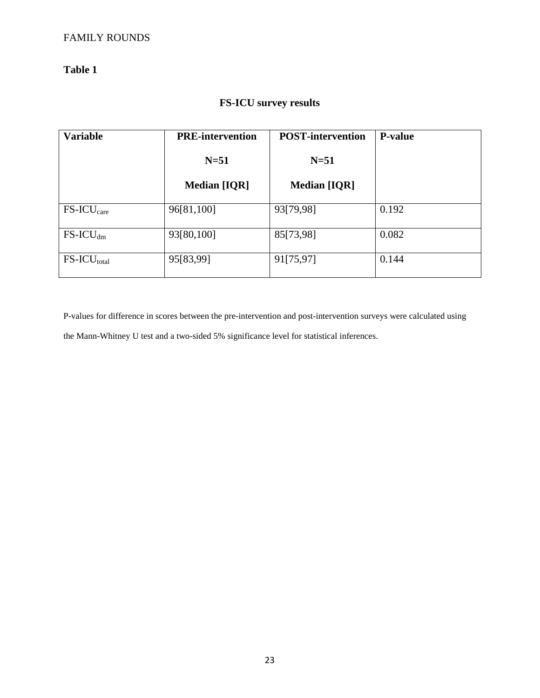## **Table 1**

## **FS-ICU survey results**

| <b>Variable</b>         | <b>PRE-intervention</b> | <b>POST-intervention</b> | <b>P-value</b> |
|-------------------------|-------------------------|--------------------------|----------------|
|                         | $N=51$                  | $N=51$                   |                |
|                         | <b>Median [IQR]</b>     | <b>Median [IQR]</b>      |                |
| $FS-ICUcare$            | 96[81,100]              | 93[79,98]                | 0.192          |
| $FS$ -ICU <sub>dm</sub> | 93[80,100]              | 85[73,98]                | 0.082          |
| $FS-ICU_{total}$        | 95[83,99]               | 91[75,97]                | 0.144          |

P-values for difference in scores between the pre-intervention and post-intervention surveys were calculated using the Mann-Whitney U test and a two-sided 5% significance level for statistical inferences.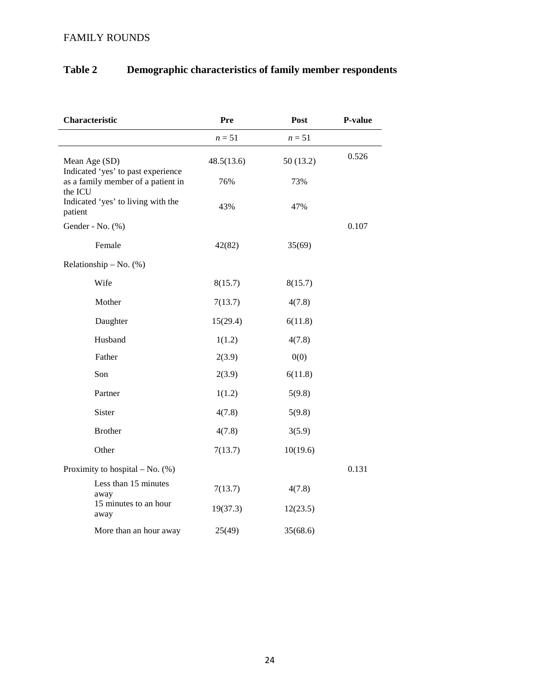| Characteristic                                      | Pre        | Post     | P-value |
|-----------------------------------------------------|------------|----------|---------|
|                                                     | $n=51$     | $n=51$   |         |
| Mean Age (SD)<br>Indicated 'yes' to past experience | 48.5(13.6) | 50(13.2) | 0.526   |
| as a family member of a patient in<br>the ICU       | 76%        | 73%      |         |
| Indicated 'yes' to living with the<br>patient       | 43%        | 47%      |         |
| Gender - No. (%)                                    |            |          | 0.107   |
| Female                                              | 42(82)     | 35(69)   |         |
| Relationship $-$ No. $(\%)$                         |            |          |         |
| Wife                                                | 8(15.7)    | 8(15.7)  |         |
| Mother                                              | 7(13.7)    | 4(7.8)   |         |
| Daughter                                            | 15(29.4)   | 6(11.8)  |         |
| Husband                                             | 1(1.2)     | 4(7.8)   |         |
| Father                                              | 2(3.9)     | 0(0)     |         |
| Son                                                 | 2(3.9)     | 6(11.8)  |         |
| Partner                                             | 1(1.2)     | 5(9.8)   |         |
| Sister                                              | 4(7.8)     | 5(9.8)   |         |
| <b>Brother</b>                                      | 4(7.8)     | 3(5.9)   |         |
| Other                                               | 7(13.7)    | 10(19.6) |         |
| Proximity to hospital $-$ No. $(\%)$                |            |          | 0.131   |
| Less than 15 minutes<br>away                        | 7(13.7)    | 4(7.8)   |         |
| 15 minutes to an hour<br>away                       | 19(37.3)   | 12(23.5) |         |
| More than an hour away                              | 25(49)     | 35(68.6) |         |

## **Table 2 Demographic characteristics of family member respondents**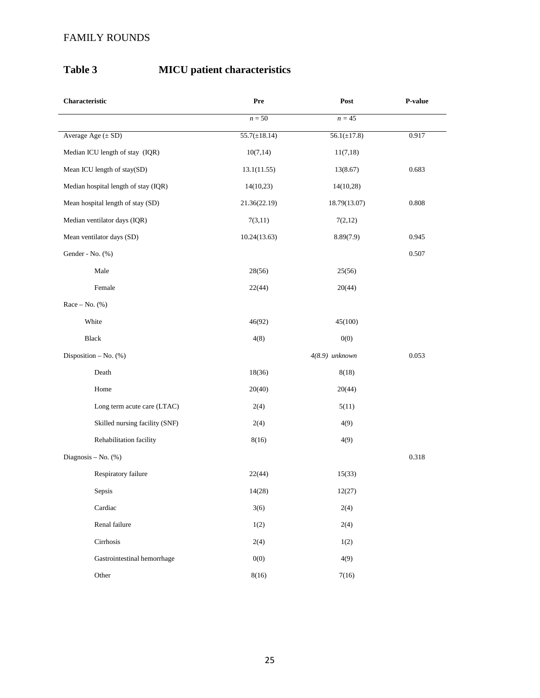## **Table 3 MICU patient characteristics**

| Characteristic                       | Pre               | Post             | P-value |
|--------------------------------------|-------------------|------------------|---------|
|                                      | $n = 50$          | $n=45$           |         |
| Average Age $(\pm SD)$               | $55.7(\pm 18.14)$ | $56.1(\pm 17.8)$ | 0.917   |
| Median ICU length of stay (IQR)      | 10(7,14)          | 11(7,18)         |         |
| Mean ICU length of stay(SD)          | 13.1(11.55)       | 13(8.67)         | 0.683   |
| Median hospital length of stay (IQR) | 14(10,23)         | 14(10,28)        |         |
| Mean hospital length of stay (SD)    | 21.36(22.19)      | 18.79(13.07)     | 0.808   |
| Median ventilator days (IQR)         | 7(3,11)           | 7(2,12)          |         |
| Mean ventilator days (SD)            | 10.24(13.63)      | 8.89(7.9)        | 0.945   |
| Gender - No. (%)                     |                   |                  | 0.507   |
| Male                                 | 28(56)            | 25(56)           |         |
| Female                               | 22(44)            | 20(44)           |         |
| Race $-$ No. $(\%)$                  |                   |                  |         |
| White                                | 46(92)            | 45(100)          |         |
| Black                                | 4(8)              | 0(0)             |         |
| Disposition $-$ No. $(\%)$           |                   | 4(8.9) unknown   | 0.053   |
| Death                                | 18(36)            | 8(18)            |         |
| Home                                 | 20(40)            | 20(44)           |         |
| Long term acute care (LTAC)          | 2(4)              | 5(11)            |         |
| Skilled nursing facility (SNF)       | 2(4)              | 4(9)             |         |
| Rehabilitation facility              | 8(16)             | 4(9)             |         |
| Diagnosis – No. $(\%)$               |                   |                  | 0.318   |
| Respiratory failure                  | 22(44)            | 15(33)           |         |
| Sepsis                               | 14(28)            | 12(27)           |         |
| Cardiac                              | 3(6)              | 2(4)             |         |
| Renal failure                        | 1(2)              | 2(4)             |         |
| Cirrhosis                            | 2(4)              | 1(2)             |         |
| Gastrointestinal hemorrhage          | 0(0)              | 4(9)             |         |
| Other                                | 8(16)             | 7(16)            |         |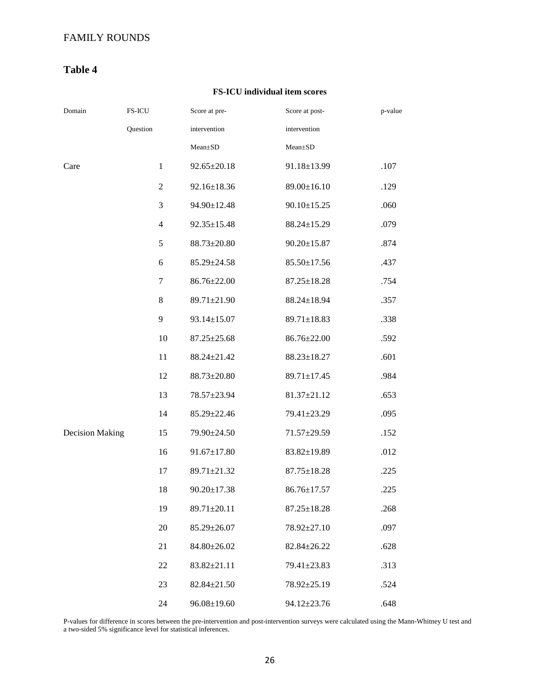## **Table 4**

#### **FS-ICU individual item scores**

| Domain                 | FS-ICU         | Score at pre-     | Score at post-    | p-value |
|------------------------|----------------|-------------------|-------------------|---------|
|                        | Question       | intervention      | intervention      |         |
|                        |                | Mean±SD           | $Mean \pm SD$     |         |
| Care                   | $\mathbf{1}$   | $92.65 \pm 20.18$ | 91.18±13.99       | .107    |
|                        | $\mathfrak{2}$ | 92.16±18.36       | 89.00±16.10       | .129    |
|                        | 3              | 94.90±12.48       | $90.10 \pm 15.25$ | .060    |
|                        | $\overline{4}$ | $92.35 \pm 15.48$ | 88.24±15.29       | .079    |
|                        | 5              | 88.73±20.80       | $90.20 \pm 15.87$ | .874    |
|                        | 6              | 85.29±24.58       | $85.50 \pm 17.56$ | .437    |
|                        | 7              | 86.76±22.00       | $87.25 \pm 18.28$ | .754    |
|                        | 8              | 89.71±21.90       | $88.24 \pm 18.94$ | .357    |
|                        | 9              | $93.14 \pm 15.07$ | $89.71 \pm 18.83$ | .338    |
|                        | 10             | $87.25 \pm 25.68$ | 86.76±22.00       | .592    |
|                        | 11             | 88.24±21.42       | $88.23 \pm 18.27$ | .601    |
|                        | 12             | 88.73±20.80       | 89.71±17.45       | .984    |
|                        | 13             | 78.57±23.94       | $81.37 \pm 21.12$ | .653    |
|                        | 14             | 85.29±22.46       | 79.41±23.29       | .095    |
| <b>Decision Making</b> | 15             | 79.90±24.50       | 71.57±29.59       | .152    |
|                        | 16             | $91.67 \pm 17.80$ | 83.82±19.89       | .012    |
|                        | 17             | 89.71±21.32       | $87.75 \pm 18.28$ | .225    |
|                        | 18             | $90.20 \pm 17.38$ | $86.76 \pm 17.57$ | .225    |
|                        | 19             | 89.71±20.11       | $87.25 \pm 18.28$ | .268    |
|                        | 20             | 85.29±26.07       | 78.92±27.10       | .097    |
|                        | 21             | 84.80±26.02       | 82.84±26.22       | .628    |
|                        | 22             | $83.82 \pm 21.11$ | 79.41±23.83       | .313    |
|                        | 23             | $82.84 \pm 21.50$ | 78.92±25.19       | .524    |
|                        | 24             | $96.08 \pm 19.60$ | 94.12±23.76       | .648    |

P-values for difference in scores between the pre-intervention and post-intervention surveys were calculated using the Mann-Whitney U test and a two-sided 5% significance level for statistical inferences.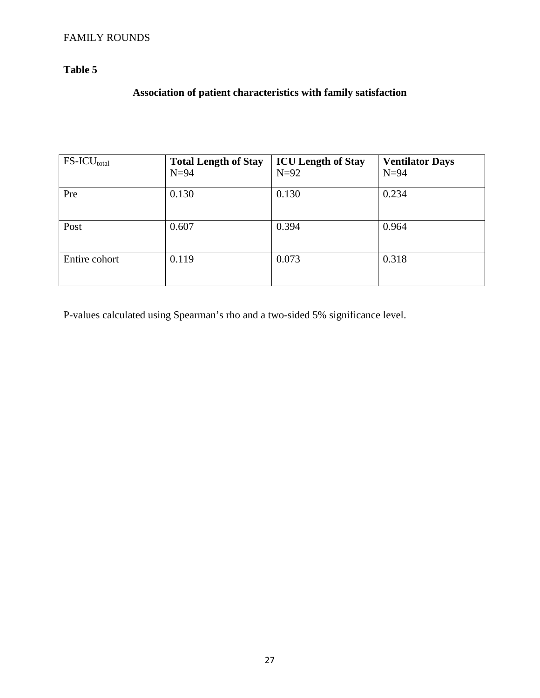## **Table 5**

## **Association of patient characteristics with family satisfaction**

| $FS-ICU_{total}$ | <b>Total Length of Stay</b> | <b>ICU Length of Stay</b> | <b>Ventilator Days</b> |
|------------------|-----------------------------|---------------------------|------------------------|
|                  | $N=94$                      | $N=92$                    | $N=94$                 |
| Pre              | 0.130                       | 0.130                     | 0.234                  |
| Post             | 0.607                       | 0.394                     | 0.964                  |
| Entire cohort    | 0.119                       | 0.073                     | 0.318                  |

P-values calculated using Spearman's rho and a two-sided 5% significance level.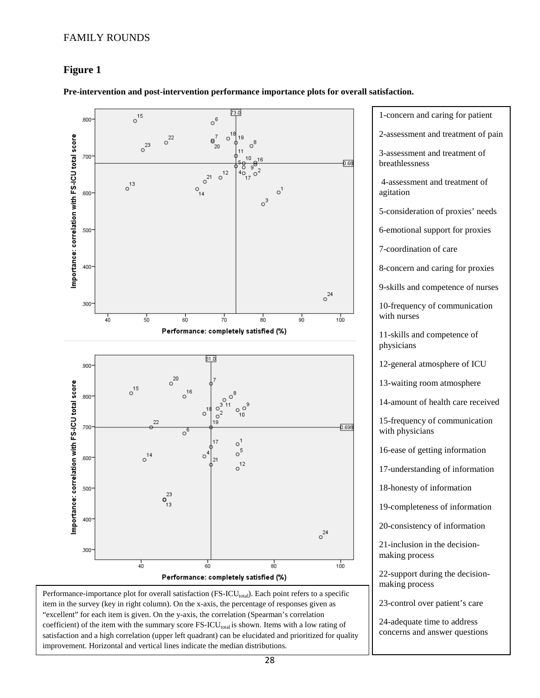#### **Figure 1**



**Pre-intervention and post-intervention performance importance plots for overall satisfaction.**

item in the survey (key in right column). On the x-axis, the percentage of responses given as "excellent" for each item is given. On the y-axis, the correlation (Spearman's correlation coefficient) of the item with the summary score FS-ICU<sub>total</sub> is shown. Items with a low rating of satisfaction and a high correlation (upper left quadrant) can be elucidated and prioritized for quality improvement. Horizontal and vertical lines indicate the median distributions.

28

24-adequate time to address concerns and answer questions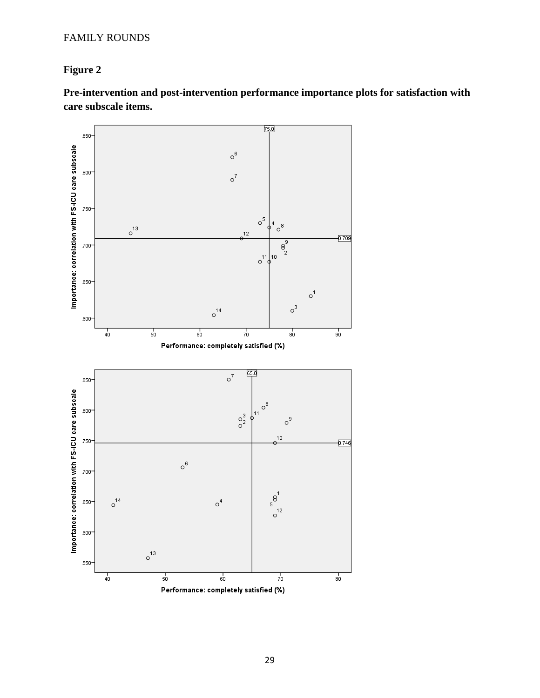## **Figure 2**

**Pre-intervention and post-intervention performance importance plots for satisfaction with care subscale items.**

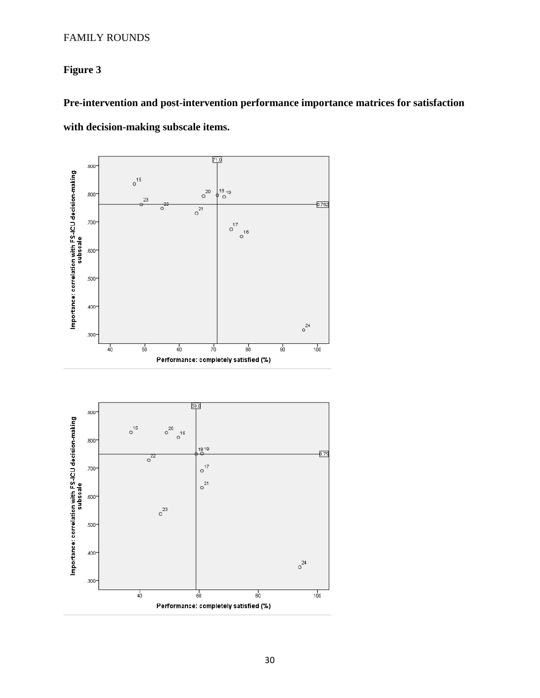## **Figure 3**

# **Pre-intervention and post-intervention performance importance matrices for satisfaction with decision-making subscale items.**

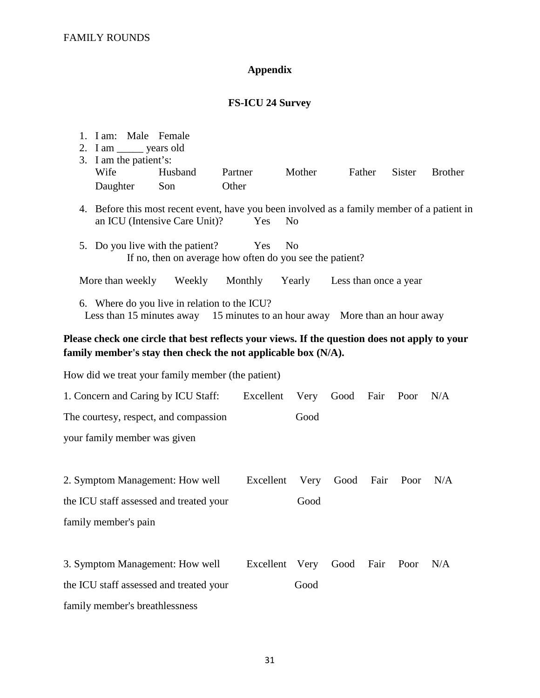## **Appendix**

## **FS-ICU 24 Survey**

| 1. I am: Male Female<br>2. I am _______ years old<br>3. I am the patient's:<br>Wife<br>Daughter | Husband<br>Son                                                                                                                                                 | Partner<br>Other | Mother         |                       | Father | Sister | <b>Brother</b> |  |
|-------------------------------------------------------------------------------------------------|----------------------------------------------------------------------------------------------------------------------------------------------------------------|------------------|----------------|-----------------------|--------|--------|----------------|--|
|                                                                                                 | 4. Before this most recent event, have you been involved as a family member of a patient in<br>an ICU (Intensive Care Unit)?                                   | Yes              | N <sub>0</sub> |                       |        |        |                |  |
|                                                                                                 | 5. Do you live with the patient?<br>If no, then on average how often do you see the patient?                                                                   | Yes              | N <sub>o</sub> |                       |        |        |                |  |
| More than weekly                                                                                | Weekly                                                                                                                                                         | Monthly          | Yearly         | Less than once a year |        |        |                |  |
|                                                                                                 | 6. Where do you live in relation to the ICU?<br>Less than 15 minutes away 15 minutes to an hour away More than an hour away                                    |                  |                |                       |        |        |                |  |
|                                                                                                 | Please check one circle that best reflects your views. If the question does not apply to your<br>family member's stay then check the not applicable box (N/A). |                  |                |                       |        |        |                |  |
|                                                                                                 | How did we treat your family member (the patient)                                                                                                              |                  |                |                       |        |        |                |  |
|                                                                                                 | 1. Concern and Caring by ICU Staff:                                                                                                                            | Excellent        | Very           | Good                  | Fair   | Poor   | N/A            |  |
|                                                                                                 | The courtesy, respect, and compassion                                                                                                                          |                  | Good           |                       |        |        |                |  |
| your family member was given                                                                    |                                                                                                                                                                |                  |                |                       |        |        |                |  |
|                                                                                                 |                                                                                                                                                                |                  |                |                       |        |        |                |  |
|                                                                                                 | 2. Symptom Management: How well                                                                                                                                | Excellent        | Very           | Good                  | Fair   | Poor   | N/A            |  |
|                                                                                                 | the ICU staff assessed and treated your                                                                                                                        |                  | Good           |                       |        |        |                |  |
| family member's pain                                                                            |                                                                                                                                                                |                  |                |                       |        |        |                |  |
|                                                                                                 |                                                                                                                                                                |                  |                |                       |        |        |                |  |
|                                                                                                 | 3. Symptom Management: How well                                                                                                                                |                  | Excellent Very | Good                  | Fair   | Poor   | N/A            |  |
|                                                                                                 | the ICU staff assessed and treated your                                                                                                                        |                  | Good           |                       |        |        |                |  |
| family member's breathlessness                                                                  |                                                                                                                                                                |                  |                |                       |        |        |                |  |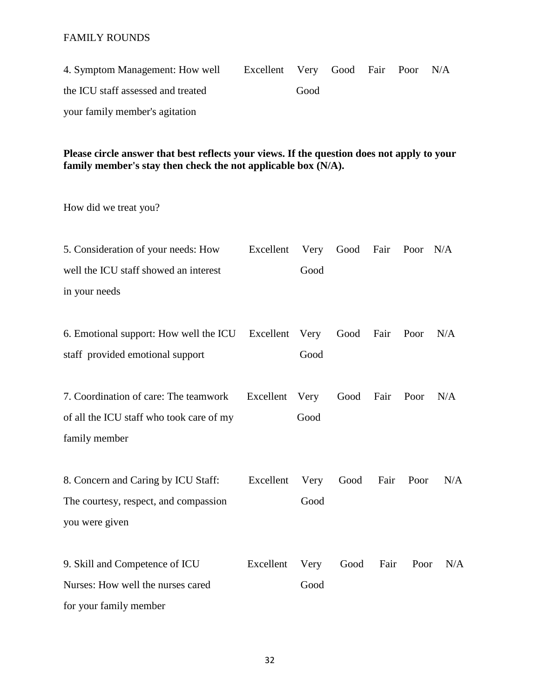4. Symptom Management: How well Excellent Very Good Fair Poor N/A the ICU staff assessed and treated Good your family member's agitation

### **Please circle answer that best reflects your views. If the question does not apply to your family member's stay then check the not applicable box (N/A).**

How did we treat you?

| 5. Consideration of your needs: How              | Excellent | Very | Good | Fair | Poor | N/A |
|--------------------------------------------------|-----------|------|------|------|------|-----|
| well the ICU staff showed an interest            |           | Good |      |      |      |     |
| in your needs                                    |           |      |      |      |      |     |
|                                                  |           |      |      |      |      |     |
| 6. Emotional support: How well the ICU Excellent |           | Very | Good | Fair | Poor | N/A |
| staff provided emotional support                 |           | Good |      |      |      |     |
| 7. Coordination of care: The teamwork            | Excellent | Very | Good | Fair | Poor | N/A |
| of all the ICU staff who took care of my         |           | Good |      |      |      |     |
| family member                                    |           |      |      |      |      |     |
| 8. Concern and Caring by ICU Staff:              | Excellent | Very | Good | Fair | Poor | N/A |
| The courtesy, respect, and compassion            |           | Good |      |      |      |     |
| you were given                                   |           |      |      |      |      |     |
| 9. Skill and Competence of ICU                   | Excellent | Very | Good | Fair | Poor | N/A |
| Nurses: How well the nurses cared                |           | Good |      |      |      |     |
| for your family member                           |           |      |      |      |      |     |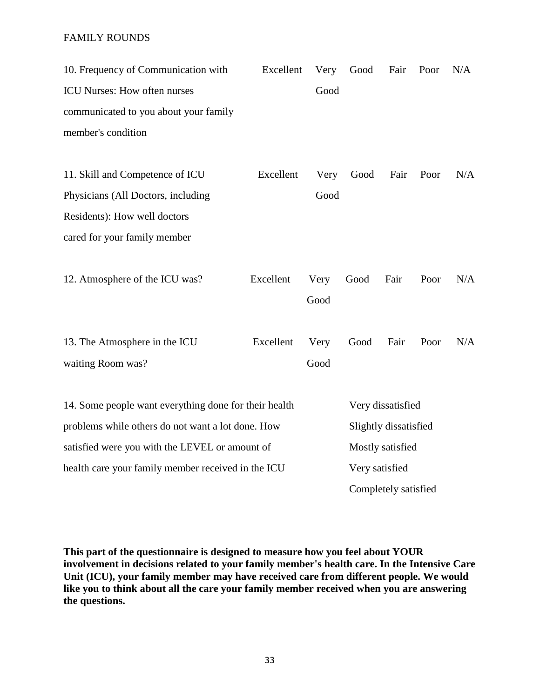| 10. Frequency of Communication with                   | Excellent | Very | Good                  | Fair                 | Poor | N/A |
|-------------------------------------------------------|-----------|------|-----------------------|----------------------|------|-----|
| <b>ICU Nurses: How often nurses</b>                   |           | Good |                       |                      |      |     |
| communicated to you about your family                 |           |      |                       |                      |      |     |
| member's condition                                    |           |      |                       |                      |      |     |
|                                                       |           |      |                       |                      |      |     |
| 11. Skill and Competence of ICU                       | Excellent | Very | Good                  | Fair                 | Poor | N/A |
| Physicians (All Doctors, including                    |           | Good |                       |                      |      |     |
| Residents): How well doctors                          |           |      |                       |                      |      |     |
| cared for your family member                          |           |      |                       |                      |      |     |
| 12. Atmosphere of the ICU was?                        | Excellent | Very | Good                  | Fair                 | Poor | N/A |
|                                                       |           | Good |                       |                      |      |     |
| 13. The Atmosphere in the ICU                         | Excellent | Very | Good                  | Fair                 | Poor | N/A |
| waiting Room was?                                     |           | Good |                       |                      |      |     |
| 14. Some people want everything done for their health |           |      |                       | Very dissatisfied    |      |     |
| problems while others do not want a lot done. How     |           |      | Slightly dissatisfied |                      |      |     |
| satisfied were you with the LEVEL or amount of        |           |      |                       | Mostly satisfied     |      |     |
| health care your family member received in the ICU    |           |      |                       | Very satisfied       |      |     |
|                                                       |           |      |                       | Completely satisfied |      |     |

**This part of the questionnaire is designed to measure how you feel about YOUR involvement in decisions related to your family member's health care. In the Intensive Care Unit (ICU), your family member may have received care from different people. We would like you to think about all the care your family member received when you are answering the questions.**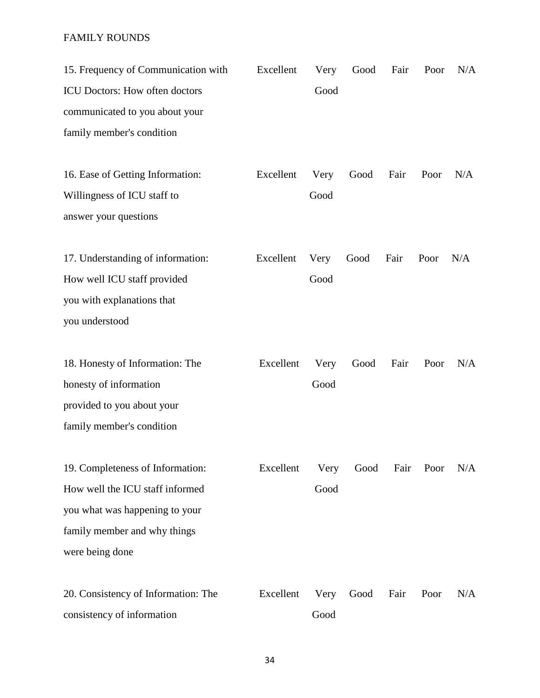| 15. Frequency of Communication with | Excellent | Very | Good | Fair | Poor | N/A |
|-------------------------------------|-----------|------|------|------|------|-----|
| ICU Doctors: How often doctors      |           | Good |      |      |      |     |
| communicated to you about your      |           |      |      |      |      |     |
| family member's condition           |           |      |      |      |      |     |
|                                     |           |      |      |      |      |     |
| 16. Ease of Getting Information:    | Excellent | Very | Good | Fair | Poor | N/A |
| Willingness of ICU staff to         |           | Good |      |      |      |     |
| answer your questions               |           |      |      |      |      |     |
| 17. Understanding of information:   | Excellent | Very | Good | Fair | Poor | N/A |
| How well ICU staff provided         |           | Good |      |      |      |     |
| you with explanations that          |           |      |      |      |      |     |
| you understood                      |           |      |      |      |      |     |
| 18. Honesty of Information: The     | Excellent | Very | Good | Fair | Poor | N/A |
| honesty of information              |           | Good |      |      |      |     |
| provided to you about your          |           |      |      |      |      |     |
| family member's condition           |           |      |      |      |      |     |
|                                     |           |      |      |      |      |     |
| 19. Completeness of Information:    | Excellent | Very | Good | Fair | Poor | N/A |
| How well the ICU staff informed     |           | Good |      |      |      |     |
| you what was happening to your      |           |      |      |      |      |     |
| family member and why things        |           |      |      |      |      |     |
| were being done                     |           |      |      |      |      |     |
| 20. Consistency of Information: The | Excellent | Very | Good | Fair | Poor | N/A |
| consistency of information          |           | Good |      |      |      |     |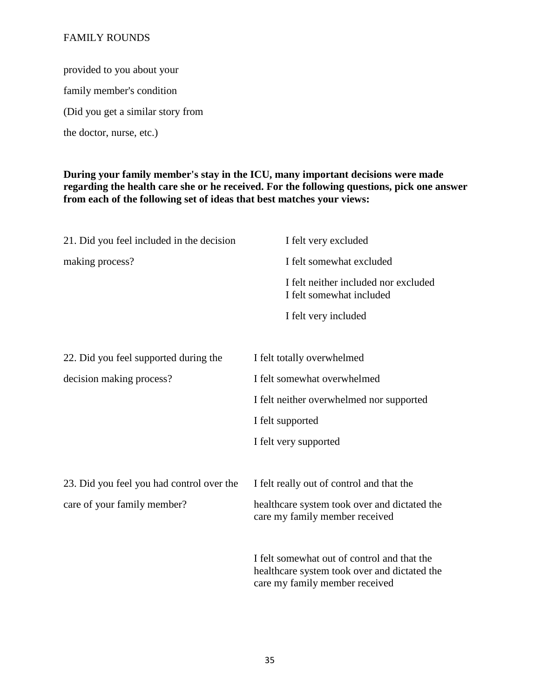provided to you about your family member's condition (Did you get a similar story from the doctor, nurse, etc.)

### **During your family member's stay in the ICU, many important decisions were made regarding the health care she or he received. For the following questions, pick one answer from each of the following set of ideas that best matches your views:**

| 21. Did you feel included in the decision | I felt very excluded                                                                                                          |
|-------------------------------------------|-------------------------------------------------------------------------------------------------------------------------------|
| making process?                           | I felt somewhat excluded                                                                                                      |
|                                           | I felt neither included nor excluded<br>I felt somewhat included                                                              |
|                                           | I felt very included                                                                                                          |
| 22. Did you feel supported during the     | I felt totally overwhelmed                                                                                                    |
| decision making process?                  | I felt somewhat overwhelmed                                                                                                   |
|                                           | I felt neither overwhelmed nor supported                                                                                      |
|                                           | I felt supported                                                                                                              |
|                                           | I felt very supported                                                                                                         |
| 23. Did you feel you had control over the | I felt really out of control and that the                                                                                     |
| care of your family member?               | healthcare system took over and dictated the<br>care my family member received                                                |
|                                           | I felt somewhat out of control and that the<br>healthcare system took over and dictated the<br>care my family member received |